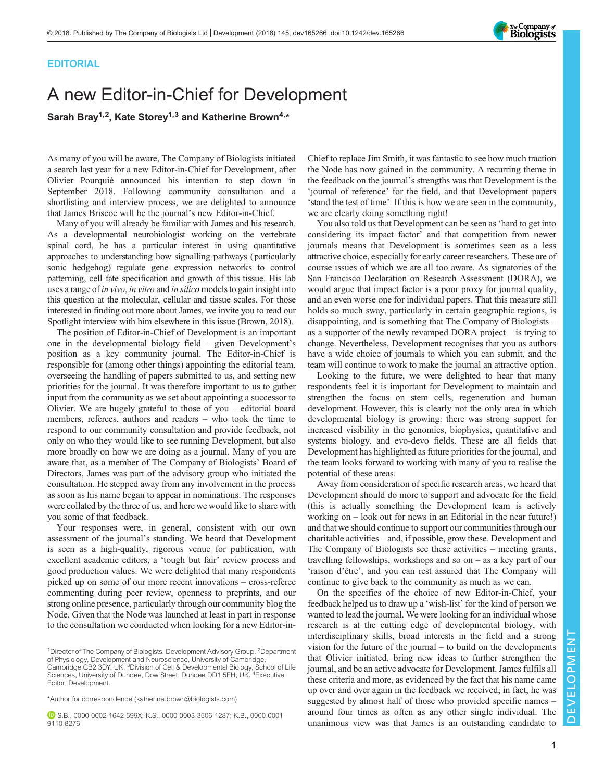## **EDITORIAL**

## A new Editor-in-Chief for Development

Sarah Bray<sup>1,2</sup>, Kate Storey<sup>1,3</sup> and Katherine Brown<sup>4,\*</sup>

As many of you will be aware, The Company of Biologists initiated a search last year for a new Editor-in-Chief for Development, after Olivier Pourquié announced his intention to step down in September 2018. Following community consultation and a shortlisting and interview process, we are delighted to announce that James Briscoe will be the journal's new Editor-in-Chief.

Many of you will already be familiar with James and his research. As a developmental neurobiologist working on the vertebrate spinal cord, he has a particular interest in using quantitative approaches to understanding how signalling pathways (particularly sonic hedgehog) regulate gene expression networks to control patterning, cell fate specification and growth of this tissue. His lab uses a range of in vivo, in vitro and in silico models to gain insight into this question at the molecular, cellular and tissue scales. For those interested in finding out more about James, we invite you to read our [Spotlight](http://dev.biologists.org/content/145/6/dev165274) interview with him elsewhere in this issue [\(Brown, 2018](#page-1-0)).

The position of Editor-in-Chief of Development is an important one in the developmental biology field – given Development's position as a key community journal. The Editor-in-Chief is responsible for (among other things) appointing the editorial team, overseeing the handling of papers submitted to us, and setting new priorities for the journal. It was therefore important to us to gather input from the community as we set about appointing a successor to Olivier. We are hugely grateful to those of you – editorial board members, referees, authors and readers – who took the time to respond to our community consultation and provide feedback, not only on who they would like to see running Development, but also more broadly on how we are doing as a journal. Many of you are aware that, as a member of The Company of Biologists' Board of Directors, James was part of the advisory group who initiated the consultation. He stepped away from any involvement in the process as soon as his name began to appear in nominations. The responses were collated by the three of us, and here we would like to share with you some of that feedback.

Your responses were, in general, consistent with our own assessment of the journal's standing. We heard that Development is seen as a high-quality, rigorous venue for publication, with excellent academic editors, a 'tough but fair' review process and good production values. We were delighted that many respondents picked up on some of our more recent innovations – cross-referee commenting during peer review, openness to preprints, and our strong online presence, particularly through our community blog the Node. Given that the Node was launched at least in part in response to the consultation we conducted when looking for a new Editor-inChief to replace Jim Smith, it was fantastic to see how much traction the Node has now gained in the community. A recurring theme in the feedback on the journal's strengths was that Development is the 'journal of reference' for the field, and that Development papers 'stand the test of time'. If this is how we are seen in the community, we are clearly doing something right!

You also told us that Development can be seen as 'hard to get into considering its impact factor' and that competition from newer journals means that Development is sometimes seen as a less attractive choice, especially for early career researchers. These are of course issues of which we are all too aware. As signatories of the San Francisco Declaration on Research Assessment (DORA), we would argue that impact factor is a poor proxy for journal quality, and an even worse one for individual papers. That this measure still holds so much sway, particularly in certain geographic regions, is disappointing, and is something that The Company of Biologists – as a supporter of the newly revamped [DORA project](https://sfdora.org/) – is trying to change. Nevertheless, Development recognises that you as authors have a wide choice of journals to which you can submit, and the team will continue to work to make the journal an attractive option.

Looking to the future, we were delighted to hear that many respondents feel it is important for Development to maintain and strengthen the focus on stem cells, regeneration and human development. However, this is clearly not the only area in which developmental biology is growing: there was strong support for increased visibility in the genomics, biophysics, quantitative and systems biology, and evo-devo fields. These are all fields that Development has highlighted as future priorities for the journal, and the team looks forward to working with many of you to realise the potential of these areas.

Away from consideration of specific research areas, we heard that Development should do more to support and advocate for the field (this is actually something the Development team is actively working on – look out for news in an Editorial in the near future!) and that we should continue to support our communities through our charitable activities – and, if possible, grow these. Development and The Company of Biologists see these activities – meeting grants, travelling fellowships, workshops and so on – as a key part of our 'raison d'être', and you can rest assured that The Company will continue to give back to the community as much as we can.

On the specifics of the choice of new Editor-in-Chief, your feedback helped us to draw up a 'wish-list' for the kind of person we wanted to lead the journal. We were looking for an individual whose research is at the cutting edge of developmental biology, with interdisciplinary skills, broad interests in the field and a strong vision for the future of the journal – to build on the developments that Olivier initiated, bring new ideas to further strengthen the journal, and be an active advocate for Development. James fulfils all these criteria and more, as evidenced by the fact that his name came up over and over again in the feedback we received; in fact, he was suggested by almost half of those who provided specific names – around four times as often as any other single individual. The unanimous view was that James is an outstanding candidate to



<sup>&</sup>lt;sup>1</sup>Director of The Company of Biologists, Development Advisory Group. <sup>2</sup>Department of Physiology, Development and Neuroscience, University of Cambridge, Cambridge CB2 3DY, UK. <sup>3</sup>Division of Cell & Developmental Biology, School of Life<br>Sciences, University of Dundee, Dow Street, Dundee DD1 5EH, UK. <sup>4</sup>Executive Editor, Development.

<sup>\*</sup>Author for correspondence [\(katherine.brown@biologists.com](mailto:katherine.brown@biologists.com))

S.B., [0000-0002-1642-599X;](http://orcid.org/0000-0002-1642-599X) K.S., [0000-0003-3506-1287](http://orcid.org/0000-0003-3506-1287); K.B., [0000-0001-](http://orcid.org/0000-0001-9110-8276) [9110-8276](http://orcid.org/0000-0001-9110-8276)